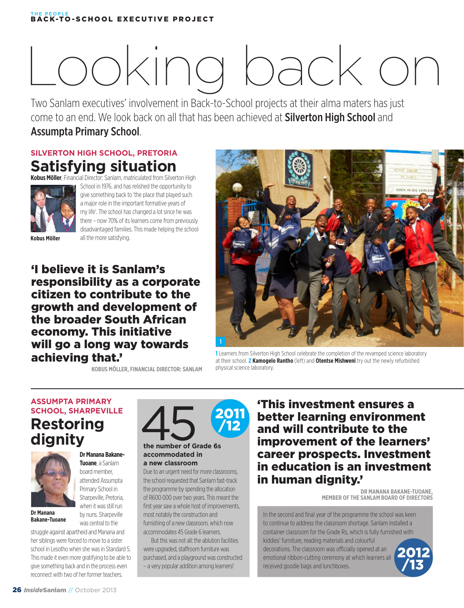#### BACK-TO-SCHOOL EXECUTIVE PROJECT THE PEOPLE

# Looking back on some **great years**

Two Sanlam executives' involvement in Back-to-School projects at their alma maters has just come to an end. We look back on all that has been achieved at **Silverton High School** and Assumpta Primary School.

#### **SILVERTON HIGH SCHOOL, PRETORIA Satisfying situation**



**Kobus Möller**, Financial Director: Sanlam, matriculated from Silverton High School in 1976, and has relished the opportunity to give something back to 'the place that played such a major role in the important formative years of my life'. The school has changed a lot since he was there – now 70% of its learners come from previously disadvantaged families. This made helping the school all the more satisfying.

**Kobus Möller**

'I believe it is Sanlam's responsibility as a corporate citizen to contribute to the growth and development of the broader South African economy. This initiative will go a long way towards achieving that.'

**FELKON SANLAW EN TIME** SOFICIN IN OIL VER **1**

**1** Learners from Silverton High School celebrate the completion of the revamped science laboratory at their school. **2 Kamogelo Rantho** (left) and **Otentse Mishweni** try out the newly refurbished physical science laboratory.

**KOBUS MÖLLER, FINANCIAL DIRECTOR: SANLAM**

#### **ASSUMPTA PRIMARY SCHOOL, SHARPEVILLE Restoring dignity**



**Dr Manana Bakane-Tuoane** 

#### **Dr Manana Bakane-Tuoane**, a Sanlam

board member, attended Assumpta Primary School in Sharpeville, Pretoria, when it was still run by nuns. Sharpeville was central to the

struggle against apartheid and Manana and her siblings were forced to move to a sister school in Lesotho when she was in Standard 5. This made it even more gratifying to be able to give something back and in the process even reconnect with two of her former teachers.



#### **accommodated in a new classroom**

Due to an urgent need for more classrooms, the school requested that Sanlam fast-track the programme by spending the allocation of R600 000 over two years. This meant the first year saw a whole host of improvements, most notably the construction and furnishing of a new classroom, which now accommodates 45 Grade 6 learners.

But this was not all: the ablution facilities were upgraded, staffroom furniture was purchased, and a playground was constructed – a very popular addition among learners!

'This investment ensures a better learning environment and will contribute to the improvement of the learners' career prospects. Investment in education is an investment in human dignity.'

> **DR MANANA BAKANE-TUOANE, MEMBER OF THE SANLAM BOARD OF DIRECTORS**

In the second and final year of the programme the school was keen to continue to address the classroom shortage. Sanlam installed a container classroom for the Grade Rs, which is fully furnished with kiddies' furniture, reading materials and colourful

decorations. The classroom was officially opened at an emotional ribbon-cutting ceremony at which learners all received goodie bags and lunchboxes.